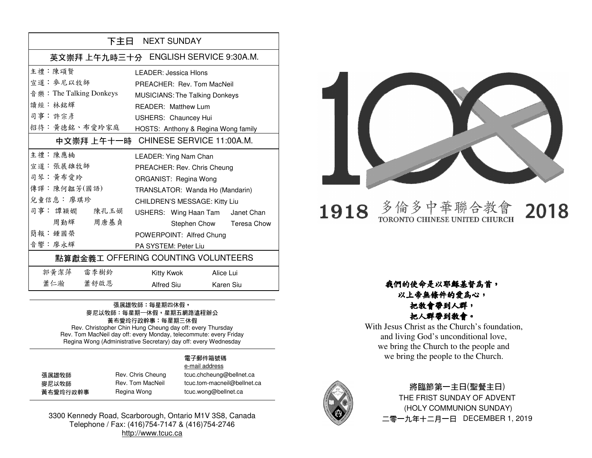| 下主日 NEXT SUNDAY                     |                                        |  |
|-------------------------------------|----------------------------------------|--|
|                                     | 英文崇拜 上午九時三十分 ENGLISH SERVICE 9:30A.M.  |  |
| <b>主禮</b> · 陳頌賢                     | LEADER: Jessica Hlons                  |  |
| 宣道 · 麥尼以牧師                          | PREACHER: Rev. Tom MacNeil             |  |
| 音 樂: The Talking Donkeys            | <b>MUSICIANS: The Talking Donkeys</b>  |  |
| 讀經:林銘輝                              | READER: Matthew Lum                    |  |
| 司事:許宗彥                              | USHERS: Chauncey Hui                   |  |
| 招待:黃德銘、布愛玲家庭                        | HOSTS: Anthony & Regina Wong family    |  |
|                                     | 中文崇拜 上午十一時 - CHINESE SERVICE 11:00A.M. |  |
| 主禮:陳應楠                              | LEADER: Ying Nam Chan                  |  |
| 宣道 · 張展雄牧師                          | PREACHER: Rev. Chris Cheung            |  |
| 司琴:黃布愛玲                             | ORGANIST: Regina Wong                  |  |
| 傳譯:陳何韞芳(國語)                         | TRANSLATOR: Wanda Ho (Mandarin)        |  |
| 兒童信息: 廖琪珍                           | CHILDREN'S MESSAGE: Kitty Liu          |  |
| 司事: 譚穎嫺 陳孔玉娟                        | USHERS: Wing Haan Tam Janet Chan       |  |
| 周勤輝<br>周唐基貞                         | Stephen Chow Teresa Chow               |  |
| 簡報·鍾國榮                              | POWERPOINT: Alfred Chung               |  |
| 音響 · 廖永輝                            | PA SYSTEM: Peter Liu                   |  |
| 點算獻金義工 OFFERING COUNTING VOLUNTEERS |                                        |  |
| 郭黃潔萍 雷李樹鈴                           | Kitty Kwok<br>Alice Lui                |  |
| 蕭仁瀚 蕭舒啟恩                            | Alfred Siu<br>Karen Siu                |  |

## 張展雄牧師:每星期四休假, 麥尼以牧師:每星期一休假,星期五網路遠程辦公 黃布愛玲行政幹事:每星期三休假 Rev. Christopher Chin Hung Cheung day off: every Thursday

 Rev. Tom MacNeil day off: every Monday, telecommute: every Friday Regina Wong (Administrative Secretary) day off: every Wednesday

### 電子郵件箱號碼 e-mail address

| 張展雄牧師    | Rev. Chris Cheung | tcuc.chcheung@bellnet.ca    |
|----------|-------------------|-----------------------------|
| 麥尼以牧師    | Rev. Tom MacNeil  | tcuc.tom-macneil@bellnet.ca |
| 黃布愛玲行政幹事 | Regina Wong       | tcuc.wong@bellnet.ca        |

3300 Kennedy Road, Scarborough, Ontario M1V 3S8, Canada Telephone / Fax: (416)754-7147 & (416)754-2746 http://www.tcuc.ca



## 多倫多中華聯合教 1918 TORONTO CHINESE UNITED CHURCH

2018

## 我們的使命是以耶穌基督為首,以上帝無條件的愛為心,把教會帶到人群,

把人群帶到教會。

 With Jesus Christ as the Church's foundation, and living God's unconditional love, we bring the Church to the people and we bring the people to the Church.



## 將臨節第一主日(聖餐主日) THE FRIST SUNDAY OF ADVENT (HOLY COMMUNION SUNDAY) 二零一九年十二月一日 DECEMBER 1, 2019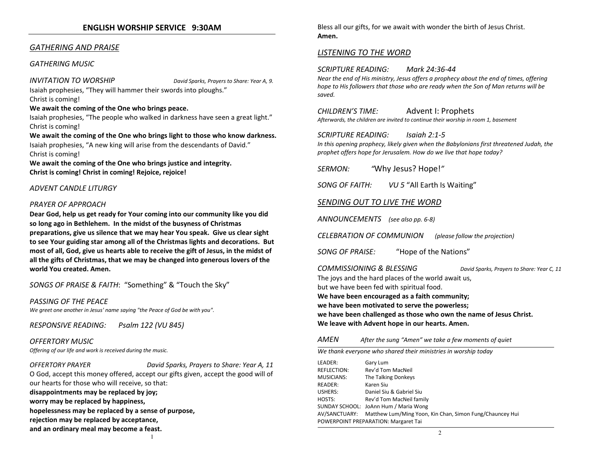## ENGLISH WORSHIP SERVICE 9:30AM

## GATHERING AND PRAISE

### GATHERING MUSIC

INVITATION TO WORSHIP David Sparks, Prayers to Share: Year A, 9.Isaiah prophesies, "They will hammer their swords into ploughs."

Christ is coming!

### We await the coming of the One who brings peace.

Isaiah prophesies, "The people who walked in darkness have seen a great light." Christ is coming!

### We await the coming of the One who brings light to those who know darkness.

Isaiah prophesies, "A new king will arise from the descendants of David." Christ is coming!

We await the coming of the One who brings justice and integrity. Christ is coming! Christ in coming! Rejoice, rejoice!

### ADVENT CANDLE LITURGY

### PRAYER OF APPROACH

Dear God, help us get ready for Your coming into our community like you did so long ago in Bethlehem. In the midst of the busyness of Christmas preparations, give us silence that we may hear You speak. Give us clear sight to see Your guiding star among all of the Christmas lights and decorations. But most of all, God, give us hearts able to receive the gift of Jesus, in the midst of all the gifts of Christmas, that we may be changed into generous lovers of the world You created. Amen.

SONGS OF PRAISE & FAITH: "Something" & "Touch the Sky"

### PASSING OF THE PEACE We greet one another in Jesus' name saying "the Peace of God be with you".

RESPONSIVE READING: Psalm 122 (VU 845)

## OFFERTORY MUSIC

Offering of our life and work is received during the music.

OFFERTORY PRAYER David Sparks, Prayers to Share: Year A, 11 O God, accept this money offered, accept our gifts given, accept the good will of our hearts for those who will receive, so that: disappointments may be replaced by joy; worry may be replaced by happiness, hopelessness may be replaced by a sense of purpose,rejection may be replaced by acceptance, and an ordinary meal may become a feast.

1

Bless all our gifts, for we await with wonder the birth of Jesus Christ. Amen.

## LISTENING TO THE WORD

SCRIPTURE READING: Mark 24:36-44

Near the end of His ministry, Jesus offers a prophecy about the end of times, offering hope to His followers that those who are ready when the Son of Man returns will be saved.

### CHILDREN'S TIME: Advent I: Prophets

Afterwards, the children are invited to continue their worship in room 1, basement

### SCRIPTURE READING: Isaiah 2:1-5

In this opening prophecy, likely given when the Babylonians first threatened Judah, the prophet offers hope for Jerusalem. How do we live that hope today?

SERMON: "Why Jesus? Hope!"

SONG OF FAITH: VU 5 "All Earth Is Waiting"

## SENDING OUT TO LIVE THE WORD

ANNOUNCEMENTS (see also pp. 6-8)

CELEBRATION OF COMMUNION (please follow the projection)

SONG OF PRAISE: "Hope of the Nations"

COMMISSIONING & BLESSING David Sparks, Prayers to Share: Year C, 11

The joys and the hard places of the world await us,but we have been fed with spiritual food.

We have been encouraged as a faith community;

we have been motivated to serve the powerless;

we have been challenged as those who own the name of Jesus Christ. We leave with Advent hope in our hearts. Amen.

#### **AMFN** After the sung "Amen" we take a few moments of quiet

We thank everyone who shared their ministries in worship today

LEADER: Gary Lum REFLECTION: Rev'd Tom MacNeil MUSICIANS: The Talking Donkeys READER: Karen Siu USHERS: Daniel Siu & Gabriel Siu HOSTS: Rev'd Tom MacNeil family SUNDAY SCHOOL: JoAnn Hum / Maria Wong AV/SANCTUARY: Matthew Lum/Ming Yoon, Kin Chan, Simon Fung/Chauncey Hui POWERPOINT PREPARATION: Margaret Tai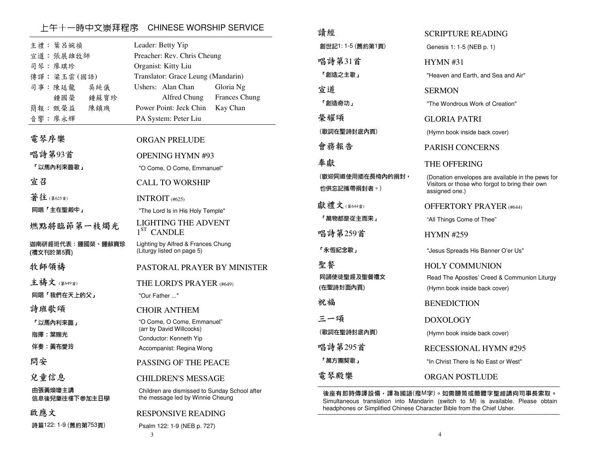## \_\_\_上午十一時中文崇拜程序 CHINESE WORSHIP SERVICE<br>————————————————————————————————

| 主禮: 葉呂婉禎                              | Leader: Betty Yip                                                                                                                   |
|---------------------------------------|-------------------------------------------------------------------------------------------------------------------------------------|
| 宣道: 張展雄牧師                             | Preacher: Rev. Chris Cheung                                                                                                         |
| 司琴:廖琪珍                                | Organist: Kitty Liu                                                                                                                 |
| 傳譯:梁玉雲(國語)                            | Translator: Grace Leung (Mandarin)                                                                                                  |
| 司事:陳廷龍                                | Ushers: Alan Chan                                                                                                                   |
| 吳純儀                                   | Gloria Ng                                                                                                                           |
| 鍾國榮                                   | Alfred Chung                                                                                                                        |
| 鍾蘇寶珍                                  | <b>Frances Chung</b>                                                                                                                |
| 簡報: 甄榮益                               | Power Point: Jeck Chin                                                                                                              |
| 陳鎮璣                                   | Kay Chan                                                                                                                            |
| 音響:廖永輝                                | PA System: Peter Liu                                                                                                                |
| 電琴序樂                                  | <b>ORGAN PRELUDE</b>                                                                                                                |
| 唱詩第93首                                | <b>OPENING HYMN #93</b>                                                                                                             |
| 「以馬內利來臨歌」                             | "O Come, O Come, Emmanuel"                                                                                                          |
| 宣召                                    | <b>CALL TO WORSHIP</b>                                                                                                              |
| 著往(第625首)                             | INTROIT $(#625)$                                                                                                                    |
| 同唱「主在聖殿中」                             | "The Lord Is in His Holy Temple"                                                                                                    |
| 燃點將臨節第一枝燭光<br>迦南研經班代表:鍾國榮、鍾蘇寶珍        | LIGHTING THE ADVENT<br>1 <sup>ST</sup> CANDLE<br>Lighting by Alfred & Frances Chung                                                 |
| (禮文刊於第5頁)                             | (Liturgy listed on page 5)                                                                                                          |
| 牧師領禱                                  | PASTORAL PRAYER BY MINISTER                                                                                                         |
| 主禱文 (第649首)                           | THE LORD'S PRAYER (#649)                                                                                                            |
| 同唱「我們在天上的父」                           | "Our Father "                                                                                                                       |
| 詩班歌頌<br>「以馬內利來臨」<br>指揮 葉賜光<br>伴奏 黃布愛玲 | <b>CHOIR ANTHEM</b><br>"O Come, O Come, Emmanuel"<br>(arr by David Willcocks)<br>Conductor: Kenneth Yip<br>Accompanist: Regina Wong |
| 問安                                    | <b>PASSING OF THE PEACE</b>                                                                                                         |
| 兒童信息                                  | <b>CHILDREN'S MESSAGE</b>                                                                                                           |
| 由張黃煥瓊主講                               | Children are dismissed to Sunday School after                                                                                       |
| 信息後兒童往樓下參加主日學                         | the message led by Winnie Cheung                                                                                                    |
| 啟應文<br>詩篇122: 1-9 (舊約第753頁)           | <b>RESPONSIVE READING</b><br>Psalm 122: 1-9 (NEB p. 727)<br>3                                                                       |

| 讀經                              | <b>SCRIPTURE READING</b>                                                                                               |
|---------------------------------|------------------------------------------------------------------------------------------------------------------------|
| 創世記1:1-5 (舊約第1頁)                | Genesis 1: 1-5 (NEB p. 1)                                                                                              |
| 唱詩第31首                          | HYMN#31                                                                                                                |
| 「創造之主歌」                         | "Heaven and Earth, and Sea and Air"                                                                                    |
| 宣道                              | SERMON                                                                                                                 |
| 「創造奇功」                          | "The Wondrous Work of Creation"                                                                                        |
| 榮耀頌                             | GLORIA PATRI                                                                                                           |
| (歌詞在聖詩封底內頁)                     | (Hymn book inside back cover)                                                                                          |
| 會務報告                            | <b>PARISH CONCERNS</b>                                                                                                 |
| 奉獻                              | THE OFFERING                                                                                                           |
| (歡迎同道使用插在長椅內的捐封,<br>也供忘記攜帶捐封者。) | (Donation envelopes are available in the pews for<br>Visitors or those who forgot to bring their own<br>assigned one.) |
| 獻禮文(第644首)                      | <b>OFFERTORY PRAYER (#644)</b>                                                                                         |
| 「萬物都是從主而來」                      | "All Things Come of Thee"                                                                                              |
| 唱詩第259首                         | <b>HYMN #259</b>                                                                                                       |
| 「永恆紀念歌」                         | "Jesus Spreads His Banner O'er Us"                                                                                     |
| 聖餐                              | <b>HOLY COMMUNION</b>                                                                                                  |
| 同誦使徒聖經及聖餐禮文                     | Read The Apostles' Creed & Communion Liturgy                                                                           |
| (在聖詩封面內頁)                       | (Hymn book inside back cover)                                                                                          |
| 祝福                              | <b>BENEDICTION</b>                                                                                                     |
| 三一頌                             | <b>DOXOLOGY</b>                                                                                                        |
| (歌詞在聖詩封底內頁)                     | (Hymn book inside back cover)                                                                                          |
| 唱詩第295首                         | <b>RECESSIONAL HYMN #295</b>                                                                                           |
| 「萬方團契歌」                         | "In Christ There Is No East or West"                                                                                   |
| 電琴殿樂                            | <b>ORGAN POSTLUDE</b>                                                                                                  |
|                                 | 後座有即時傳譯設備,譯為國語(撥M字)。如需聽筒或簡體字聖經請向司事長索取。                                                                                 |

 Simultaneous translation into Mandarin (switch to M) is available. Please obtain headphones or Simplified Chinese Character Bible from the Chief Usher.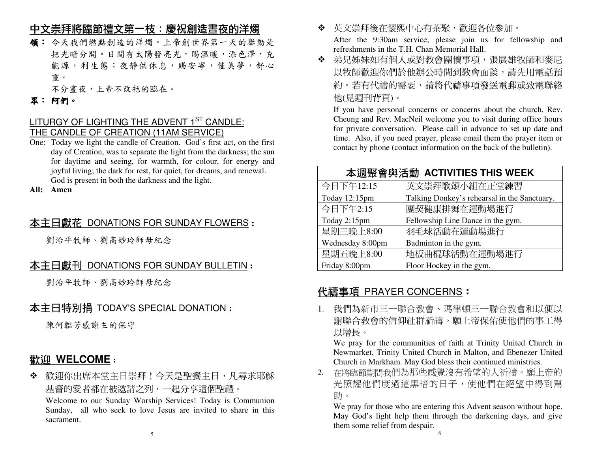## 中文崇拜將臨節禮文第一枝:慶祝創造晝夜的洋燭

- 領: 今天我們燃點創造的洋燭。上帝創世界第一天的舉動是把光暗分開。日間有太陽發亮光,賜溫暖,添色澤,充 能源,利生態;夜靜供休息,賜安寧,催美夢,舒心 靈。
- 不分晝夜,上帝不改祂的臨在。

## 眾:阿們。

## LITURGY OF LIGHTING THE ADVENT  $1<sup>ST</sup>$  CANDLE: THE CANDLE OF CREATION (11AM SERVICE)

 One: Today we light the candle of Creation. God's first act, on the first day of Creation, was to separate the light from the darkness; the sun for daytime and seeing, for warmth, for colour, for energy and joyful living; the dark for rest, for quiet, for dreams, and renewal. God is present in both the darkness and the light.

**All: Amen** 

# <u>本主日獻花 DONATIONS FOR SUNDAY FLOWERS</u> :<br>.

劉治平牧師、劉高妙玲師母紀念

# <u>本主日獻刊 DONATIONS FOR SUNDAY BULLETIN</u> :<br>.

劉治平牧師、劉高妙玲師母紀念

# 本主日特別捐 TODAY'S SPECIAL DONATION:

陳何韞芳感謝主的保守

# 歡迎 **WELCOME**:

 $\mathbf{r}$  歡迎你出席本堂主日崇拜!今天是聖餐主日,凡尋求耶穌基督的愛者都在被邀請之列,一起分享這個聖禮。

 Welcome to our Sunday Worship Services! Today is Communion Sunday, all who seek to love Jesus are invited to share in this sacrament.

- 英文崇拜後在懷熙中心有茶聚,歡迎各位參加。 After the 9:30am service, please join us for fellowship and refreshments in the T.H. Chan Memorial Hall.
- 弟兄姊妹如有個人或對教會關懷事項,張展雄牧師和麥尼 以牧師歡迎你們於他辦公時間到教會面談,請先用電話預 約。若有代禱的需要,請將代禱事項發送電郵或致電聯絡他(見週刊背頁)。

 If you have personal concerns or concerns about the church, Rev. Cheung and Rev. MacNeil welcome you to visit during office hours for private conversation. Please call in advance to set up date and time. Also, if you need prayer, please email them the prayer item or contact by phone (contact information on the back of the bulletin).

| 本週聚會與活動 ACTIVITIES THIS WEEK |                                              |  |
|------------------------------|----------------------------------------------|--|
| 今日下午12:15                    | 英文崇拜歌頌小組在正堂練習                                |  |
| Today 12:15pm                | Talking Donkey's rehearsal in the Sanctuary. |  |
| 今日下午2:15                     | 團契健康排舞在運動場進行                                 |  |
| Today 2:15pm                 | Fellowship Line Dance in the gym.            |  |
| 星期三晚上8:00                    | 羽毛球活動在運動場進行                                  |  |
| Wednesday 8:00pm             | Badminton in the gym.                        |  |
| 星期五晚上8:00                    | 地板曲棍球活動在運動場進行                                |  |
| Friday 8:00pm                | Floor Hockey in the gym.                     |  |

# 代禱事項 PRAYER CONCERNS:

1. 我們為新市三一聯合教會、瑪律頓三一聯合教會和以便以 謝聯合教會的信仰社群祈禱。願上帝保佑使他們的事工得以增長。

 We pray for the communities of faith at Trinity United Church in Newmarket, Trinity United Church in Malton, and Ebenezer United Church in Markham. May God bless their continued ministries.

 2. 在將臨節期間我們為那些感覺沒有希望的人祈禱。願上帝的 光照耀他們度過這黑暗的日子,使他們在絕望中得到幫助。

 We pray for those who are entering this Advent season without hope. May God's light help them through the darkening days, and give them some relief from despair.